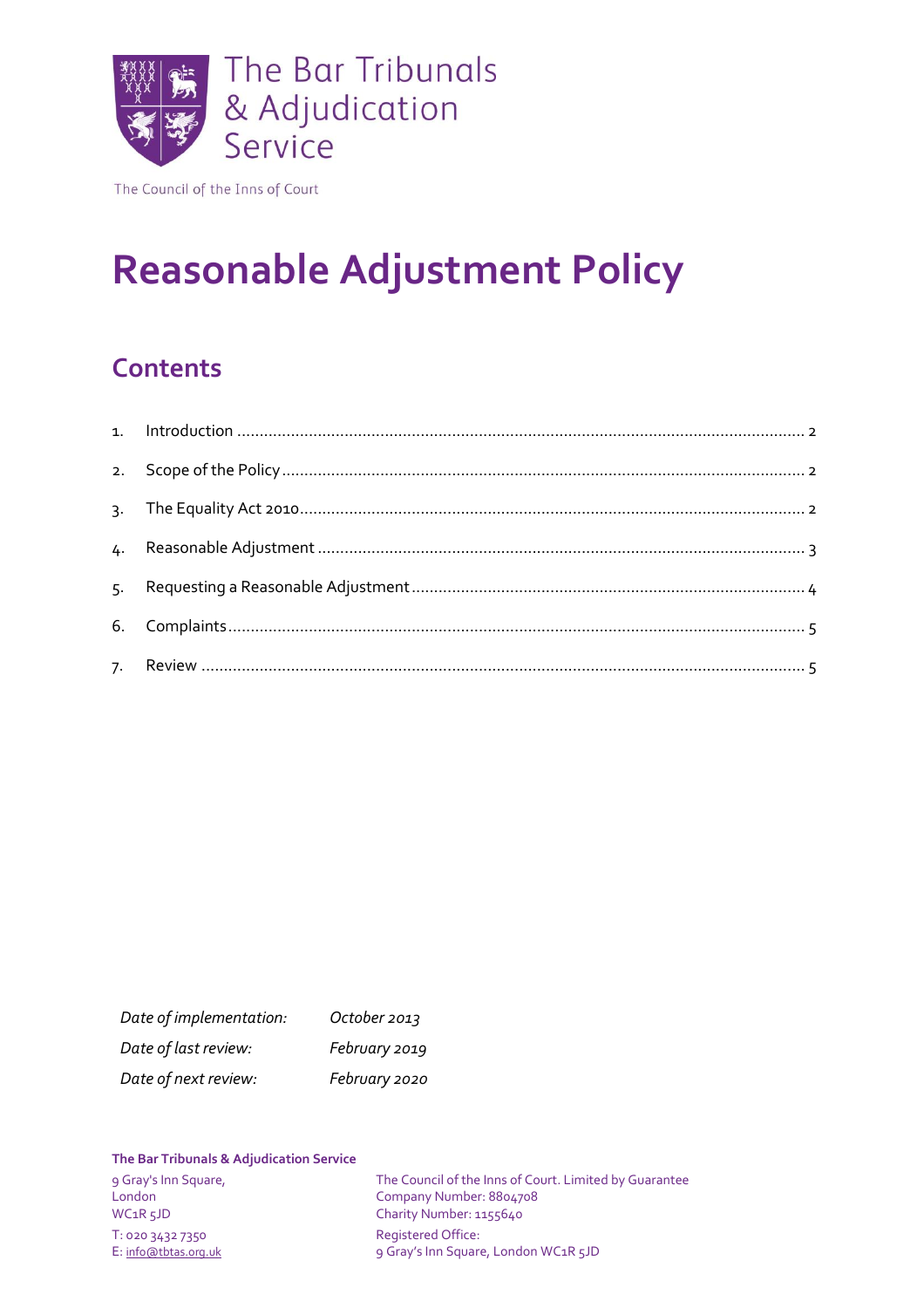

The Council of the Inns of Court

# **Reasonable Adjustment Policy**

# **Contents**

| Date of implementation: | October 2013  |
|-------------------------|---------------|
| Date of last review:    | February 2019 |
| Date of next review:    | February 2020 |

#### **The Bar Tribunals & Adjudication Service**

London Company Number: 8804708<br>
WC1R 5JD Charity Number: 1155640 T: 020 3432 7350 Registered Office:

9 Gray's Inn Square, The Council of the Inns of Court. Limited by Guarantee<br>
London<br>
Company Number: 8804708 Charity Number: 1155640 E: [info@tbtas.org.uk](mailto:info@tbtas.org.uk) 9 Gray's Inn Square, London WC1R 5JD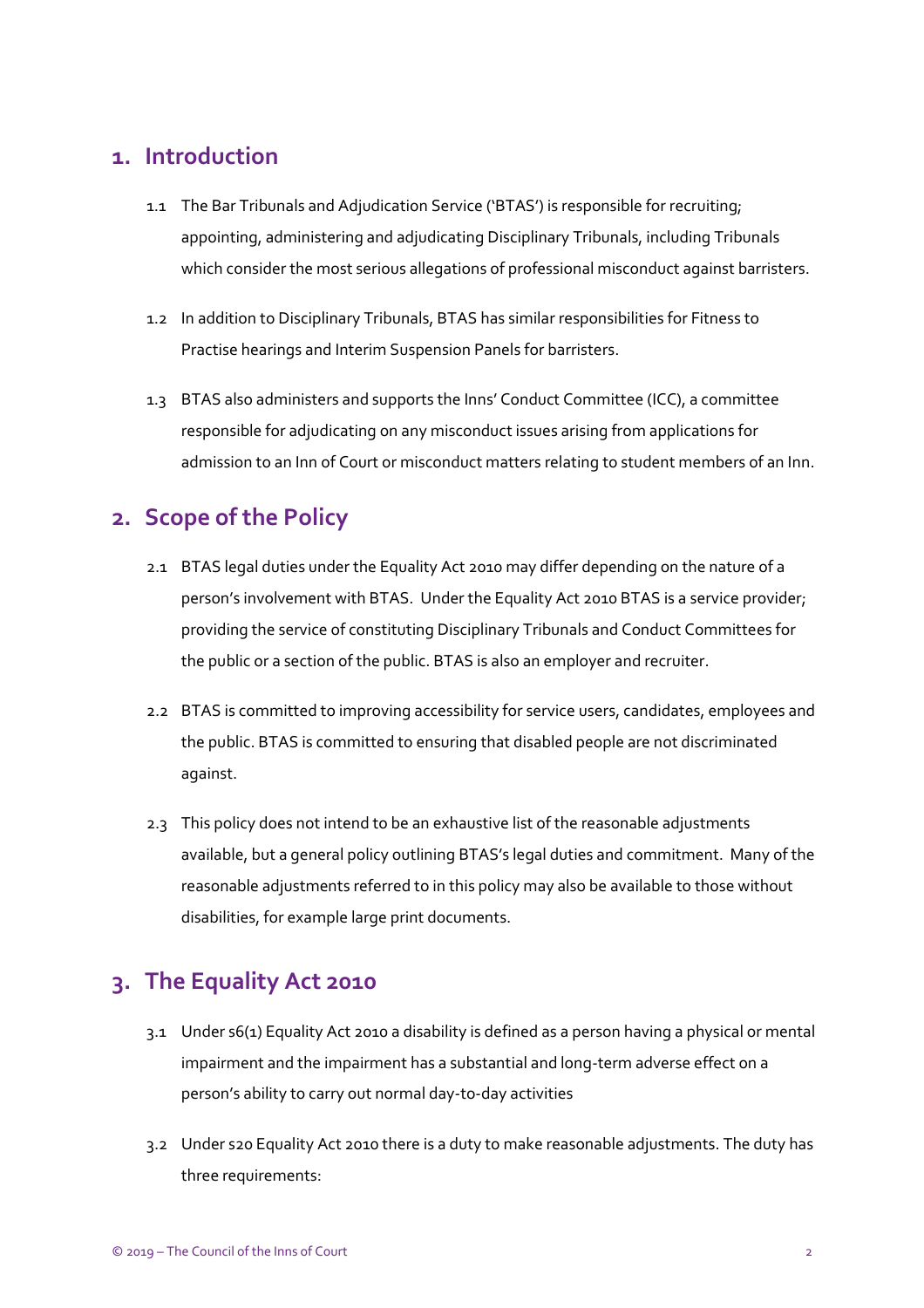#### <span id="page-1-0"></span>**1. Introduction**

- 1.1 The Bar Tribunals and Adjudication Service ('BTAS') is responsible for recruiting; appointing, administering and adjudicating Disciplinary Tribunals, including Tribunals which consider the most serious allegations of professional misconduct against barristers.
- 1.2 In addition to Disciplinary Tribunals, BTAS has similar responsibilities for Fitness to Practise hearings and Interim Suspension Panels for barristers.
- 1.3 BTAS also administers and supports the Inns' Conduct Committee (ICC), a committee responsible for adjudicating on any misconduct issues arising from applications for admission to an Inn of Court or misconduct matters relating to student members of an Inn.

### <span id="page-1-1"></span>**2. Scope of the Policy**

- 2.1 BTAS legal duties under the Equality Act 2010 may differ depending on the nature of a person's involvement with BTAS. Under the Equality Act 2010 BTAS is a service provider; providing the service of constituting Disciplinary Tribunals and Conduct Committees for the public or a section of the public. BTAS is also an employer and recruiter.
- 2.2 BTAS is committed to improving accessibility for service users, candidates, employees and the public. BTAS is committed to ensuring that disabled people are not discriminated against.
- 2.3 This policy does not intend to be an exhaustive list of the reasonable adjustments available, but a general policy outlining BTAS's legal duties and commitment. Many of the reasonable adjustments referred to in this policy may also be available to those without disabilities, for example large print documents.

### <span id="page-1-2"></span>**3. The Equality Act 2010**

- 3.1 Under s6(1) Equality Act 2010 a disability is defined as a person having a physical or mental impairment and the impairment has a substantial and long-term adverse effect on a person's ability to carry out normal day-to-day activities
- 3.2 Under s20 Equality Act 2010 there is a duty to make reasonable adjustments. The duty has three requirements: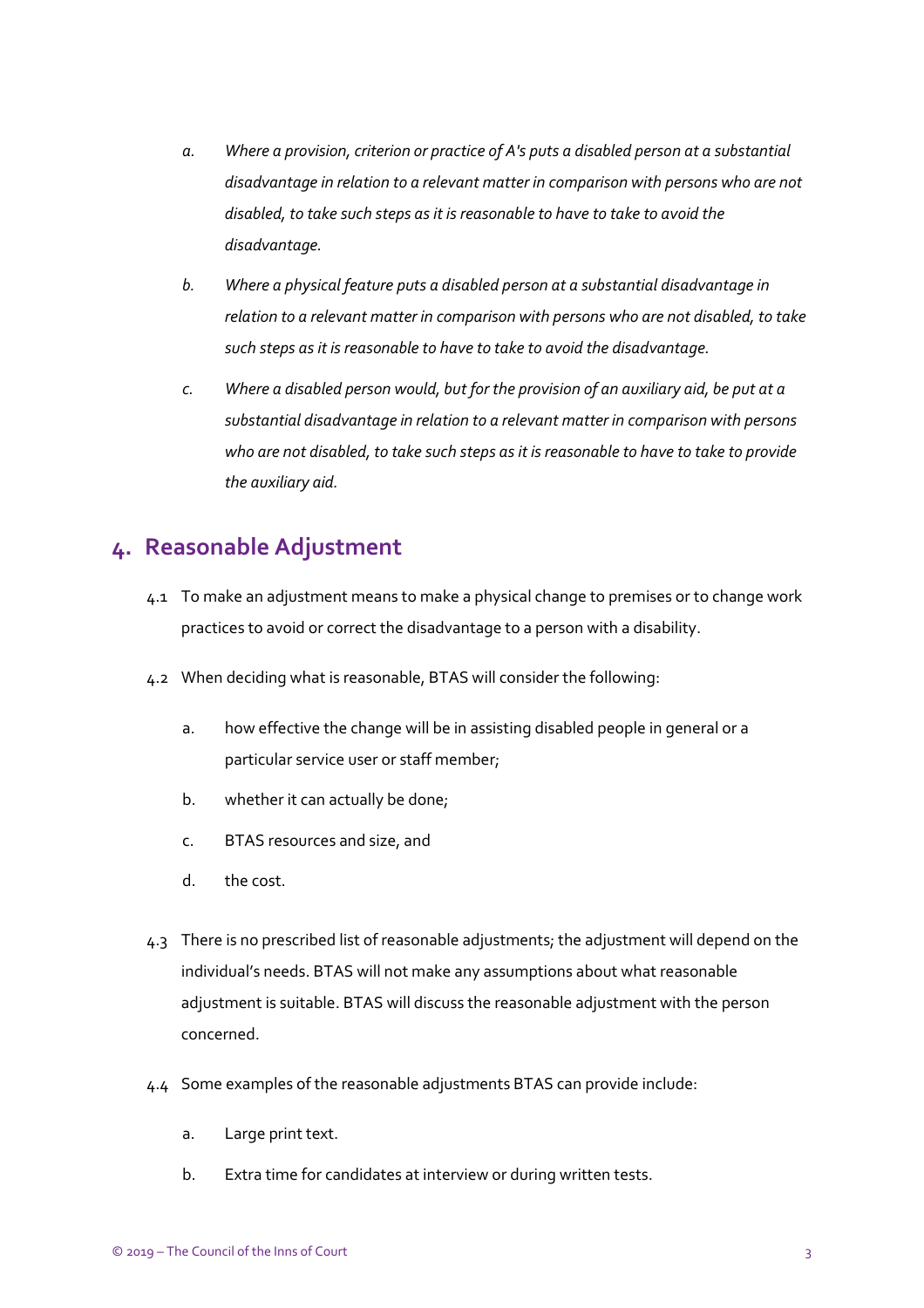- *a. Where a provision, criterion or practice of A's puts a disabled person at a substantial disadvantage in relation to a relevant matter in comparison with persons who are not disabled, to take such steps as it is reasonable to have to take to avoid the disadvantage.*
- *b. Where a physical feature puts a disabled person at a substantial disadvantage in relation to a relevant matter in comparison with persons who are not disabled, to take such steps as it is reasonable to have to take to avoid the disadvantage.*
- *c. Where a disabled person would, but for the provision of an auxiliary aid, be put at a substantial disadvantage in relation to a relevant matter in comparison with persons who are not disabled, to take such steps as it is reasonable to have to take to provide the auxiliary aid.*

#### <span id="page-2-0"></span>**4. Reasonable Adjustment**

- 4.1 To make an adjustment means to make a physical change to premises or to change work practices to avoid or correct the disadvantage to a person with a disability.
- 4.2 When deciding what is reasonable, BTAS will consider the following:
	- a. how effective the change will be in assisting disabled people in general or a particular service user or staff member;
	- b. whether it can actually be done;
	- c. BTAS resources and size, and
	- d. the cost.
- 4.3 There is no prescribed list of reasonable adjustments; the adjustment will depend on the individual's needs. BTAS will not make any assumptions about what reasonable adjustment is suitable. BTAS will discuss the reasonable adjustment with the person concerned.
- 4.4 Some examples of the reasonable adjustments BTAS can provide include:
	- a. Large print text.
	- b. Extra time for candidates at interview or during written tests.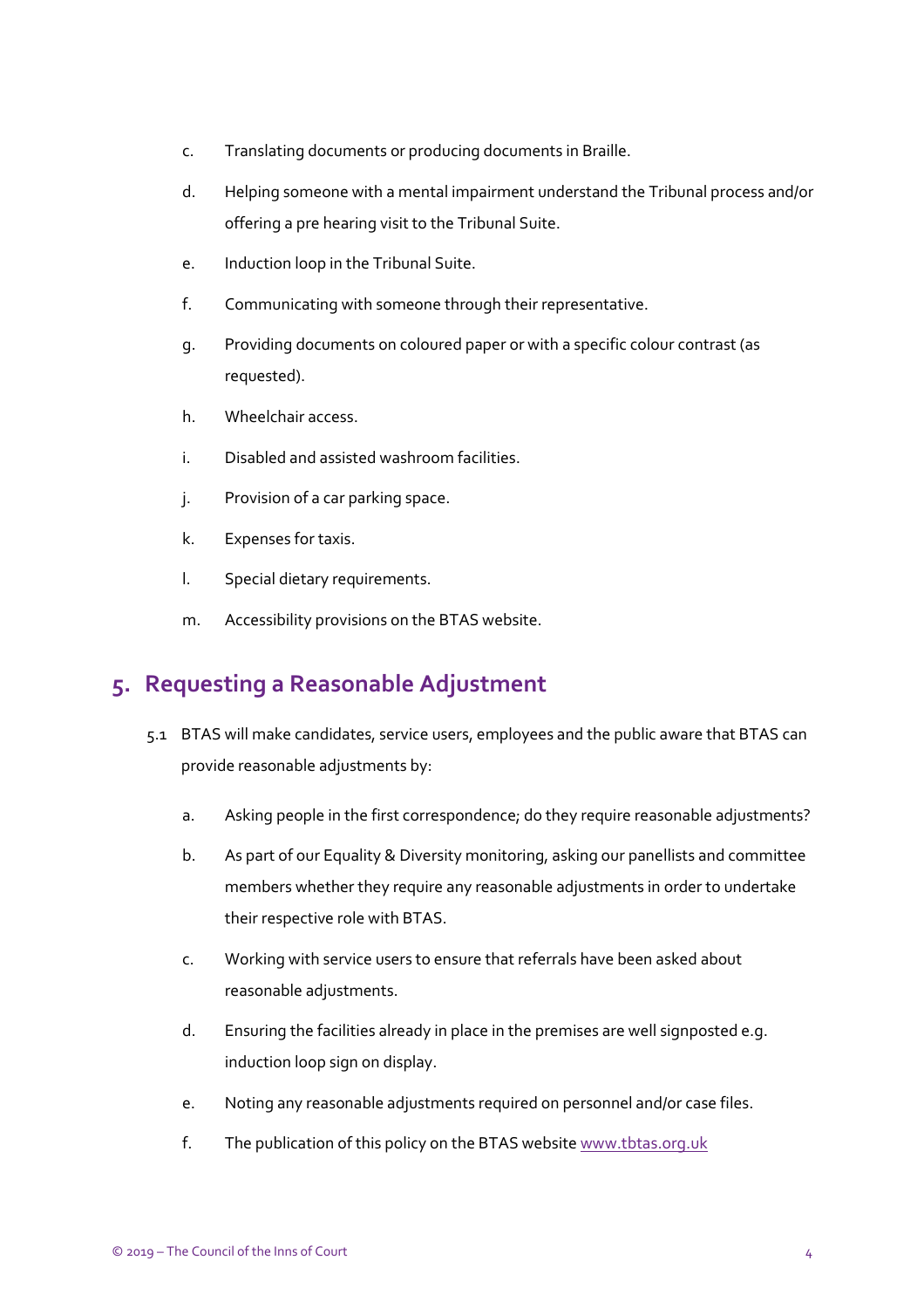- c. Translating documents or producing documents in Braille.
- d. Helping someone with a mental impairment understand the Tribunal process and/or offering a pre hearing visit to the Tribunal Suite.
- e. Induction loop in the Tribunal Suite.
- f. Communicating with someone through their representative.
- g. Providing documents on coloured paper or with a specific colour contrast (as requested).
- h. Wheelchair access.
- i. Disabled and assisted washroom facilities.
- j. Provision of a car parking space.
- k. Expenses for taxis.
- l. Special dietary requirements.
- m. Accessibility provisions on the BTAS website.

#### <span id="page-3-0"></span>**5. Requesting a Reasonable Adjustment**

- 5.1 BTAS will make candidates, service users, employees and the public aware that BTAS can provide reasonable adjustments by:
	- a. Asking people in the first correspondence; do they require reasonable adjustments?
	- b. As part of our Equality & Diversity monitoring, asking our panellists and committee members whether they require any reasonable adjustments in order to undertake their respective role with BTAS.
	- c. Working with service users to ensure that referrals have been asked about reasonable adjustments.
	- d. Ensuring the facilities already in place in the premises are well signposted e.g. induction loop sign on display.
	- e. Noting any reasonable adjustments required on personnel and/or case files.
	- f. The publication of this policy on the BTAS websit[e www.tbtas.org.uk](file://///coicsbs/TBTAS_Shared/Policies%20&%20Reports/TBTAS%20Policies/Current/Branded/www.tbtas.org.uk)